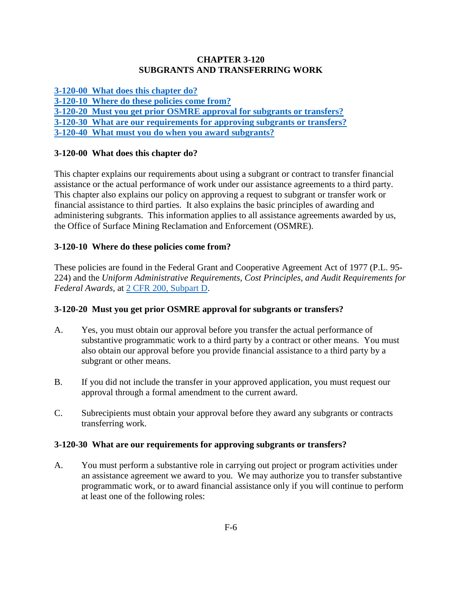#### **CHAPTER 3-120 SUBGRANTS AND TRANSFERRING WORK**

**[3-120-00 What does this chapter do?](#page-0-0)**

**[3-120-10 Where do these policies come from?](#page-0-1)**

**[3-120-20 Must you get prior OSMRE approval for subgrants or transfers?](#page-0-2)** 

**[3-120-30 What are our requirements for approving subgrants or transfers?](#page-0-3)**

**[3-120-40 What must you do when you award subgrants?](#page-1-0)**

## <span id="page-0-0"></span>**3-120-00 What does this chapter do?**

This chapter explains our requirements about using a subgrant or contract to transfer financial assistance or the actual performance of work under our assistance agreements to a third party. This chapter also explains our policy on approving a request to subgrant or transfer work or financial assistance to third parties. It also explains the basic principles of awarding and administering subgrants. This information applies to all assistance agreements awarded by us, the Office of Surface Mining Reclamation and Enforcement (OSMRE).

# <span id="page-0-1"></span>**3-120-10 Where do these policies come from?**

These policies are found in the Federal Grant and Cooperative Agreement Act of 1977 (P.L. 95- 224) and the *Uniform Administrative Requirements, Cost Principles, and Audit Requirements for Federal Awards,* at [2 CFR 200, Subpart D.](http://www.ecfr.gov/cgi-bin/text-idx?SID=f6ddafc06dfa494200fbc08fe01681ec&node=pt2.1.200&rgn=div5)

## <span id="page-0-2"></span>**3-120-20 Must you get prior OSMRE approval for subgrants or transfers?**

- A. Yes, you must obtain our approval before you transfer the actual performance of substantive programmatic work to a third party by a contract or other means. You must also obtain our approval before you provide financial assistance to a third party by a subgrant or other means.
- B. If you did not include the transfer in your approved application, you must request our approval through a formal amendment to the current award.
- C. Subrecipients must obtain your approval before they award any subgrants or contracts transferring work.

## <span id="page-0-3"></span>**3-120-30 What are our requirements for approving subgrants or transfers?**

A. You must perform a substantive role in carrying out project or program activities under an assistance agreement we award to you. We may authorize you to transfer substantive programmatic work, or to award financial assistance only if you will continue to perform at least one of the following roles: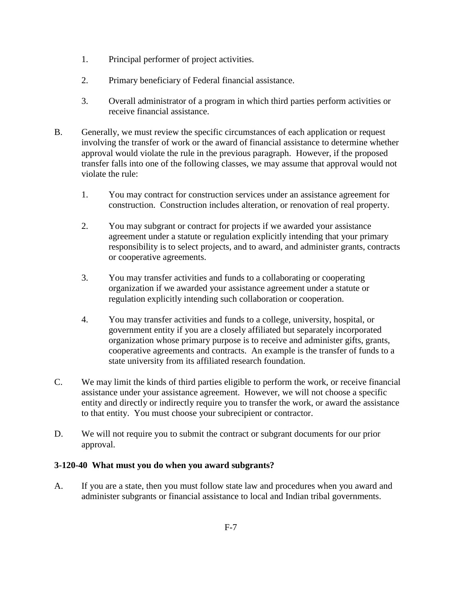- 1. Principal performer of project activities.
- 2. Primary beneficiary of Federal financial assistance.
- 3. Overall administrator of a program in which third parties perform activities or receive financial assistance.
- B. Generally, we must review the specific circumstances of each application or request involving the transfer of work or the award of financial assistance to determine whether approval would violate the rule in the previous paragraph. However, if the proposed transfer falls into one of the following classes, we may assume that approval would not violate the rule:
	- 1. You may contract for construction services under an assistance agreement for construction. Construction includes alteration, or renovation of real property.
	- 2. You may subgrant or contract for projects if we awarded your assistance agreement under a statute or regulation explicitly intending that your primary responsibility is to select projects, and to award, and administer grants, contracts or cooperative agreements.
	- 3. You may transfer activities and funds to a collaborating or cooperating organization if we awarded your assistance agreement under a statute or regulation explicitly intending such collaboration or cooperation.
	- 4. You may transfer activities and funds to a college, university, hospital, or government entity if you are a closely affiliated but separately incorporated organization whose primary purpose is to receive and administer gifts, grants, cooperative agreements and contracts. An example is the transfer of funds to a state university from its affiliated research foundation.
- C. We may limit the kinds of third parties eligible to perform the work, or receive financial assistance under your assistance agreement. However, we will not choose a specific entity and directly or indirectly require you to transfer the work, or award the assistance to that entity. You must choose your subrecipient or contractor.
- D. We will not require you to submit the contract or subgrant documents for our prior approval.

#### <span id="page-1-0"></span>**3-120-40 What must you do when you award subgrants?**

A. If you are a state, then you must follow state law and procedures when you award and administer subgrants or financial assistance to local and Indian tribal governments.